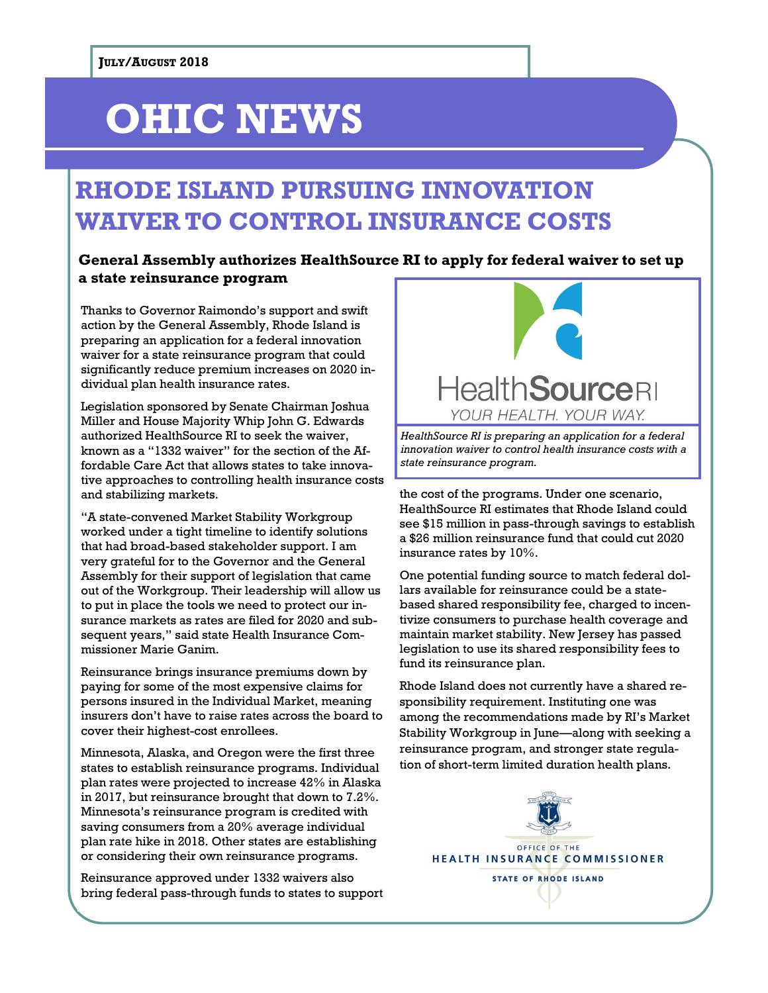## **OHIC NEWS**

### **RHODE ISLAND PURSUING INNOVATION WAIVER TO CONTROL INSURANCE COSTS**

#### **General Assembly authorizes HealthSource RI to apply for federal waiver to set up a state reinsurance program**

Thanks to Governor Raimondo's support and swift action by the General Assembly, Rhode Island is preparing an application for a federal innovation waiver for a state reinsurance program that could significantly reduce premium increases on 2020 individual plan health insurance rates.

Legislation sponsored by Senate Chairman Joshua Miller and House Majority Whip John G. Edwards authorized HealthSource RI to seek the waiver, known as a "1332 waiver" for the section of the Affordable Care Act that allows states to take innovative approaches to controlling health insurance costs and stabilizing markets.

"A state-convened Market Stability Workgroup worked under a tight timeline to identify solutions that had broad-based stakeholder support. I am very grateful for to the Governor and the General Assembly for their support of legislation that came out of the Workgroup. Their leadership will allow us to put in place the tools we need to protect our insurance markets as rates are filed for 2020 and subsequent years," said state Health Insurance Commissioner Marie Ganim.

Reinsurance brings insurance premiums down by paying for some of the most expensive claims for persons insured in the Individual Market, meaning insurers don't have to raise rates across the board to cover their highest-cost enrollees.

Minnesota, Alaska, and Oregon were the first three states to establish reinsurance programs. Individual plan rates were projected to increase 42% in Alaska in 2017, but reinsurance brought that down to 7.2%. Minnesota's reinsurance program is credited with saving consumers from a 20% average individual plan rate hike in 2018. Other states are establishing or considering their own reinsurance programs.

Reinsurance approved under 1332 waivers also bring federal pass-through funds to states to support



*HealthSource RI is preparing an application for a federal innovation waiver to control health insurance costs with a state reinsurance program.*

the cost of the programs. Under one scenario, HealthSource RI estimates that Rhode Island could see \$15 million in pass-through savings to establish a \$26 million reinsurance fund that could cut 2020 insurance rates by 10%.

One potential funding source to match federal dollars available for reinsurance could be a statebased shared responsibility fee, charged to incentivize consumers to purchase health coverage and maintain market stability. New Jersey has passed legislation to use its shared responsibility fees to fund its reinsurance plan.

Rhode Island does not currently have a shared responsibility requirement. Instituting one was among the recommendations made by RI's Market Stability Workgroup in June—along with seeking a reinsurance program, and stronger state regulation of short-term limited duration health plans.